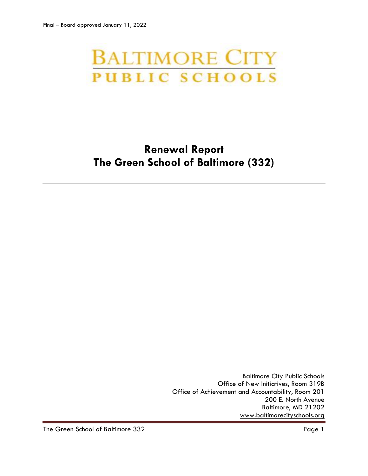# **BALTIMORE CITY PUBLIC SCHOOLS**

# **Renewal Report The Green School of Baltimore (332)**

Baltimore City Public Schools Office of New Initiatives, Room 319B Office of Achievement and Accountability, Room 201 200 E. North Avenue Baltimore, MD 21202 [www.baltimorecityschools.org](http://www.baltimorecityschools.org/)

The Green School of Baltimore 332 Page 1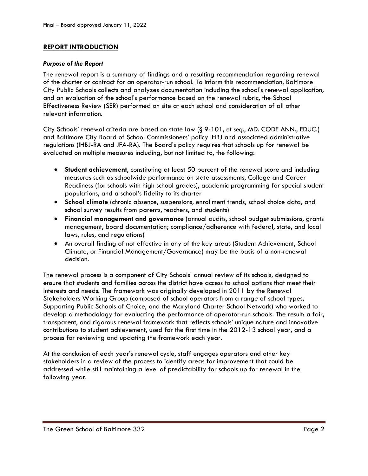# **REPORT INTRODUCTION**

### *Purpose of the Report*

The renewal report is a summary of findings and a resulting recommendation regarding renewal of the charter or contract for an operator-run school. To inform this recommendation, Baltimore City Public Schools collects and analyzes documentation including the school's renewal application, and an evaluation of the school's performance based on the renewal rubric, the School Effectiveness Review (SER) performed on site at each school and consideration of all other relevant information.

City Schools' renewal criteria are based on state law (§ 9-101, *et seq*., MD. CODE ANN., EDUC.) and Baltimore City Board of School Commissioners' policy IHBJ and associated administrative regulations (IHBJ-RA and JFA-RA). The Board's policy requires that schools up for renewal be evaluated on multiple measures including, but not limited to, the following:

- **Student achievement**, constituting at least 50 percent of the renewal score and including measures such as schoolwide performance on state assessments, College and Career Readiness (for schools with high school grades), academic programming for special student populations, and a school's fidelity to its charter
- **School climate** (chronic absence, suspensions, enrollment trends, school choice data, and school survey results from parents, teachers, and students)
- **Financial management and governance** (annual audits, school budget submissions, grants management, board documentation; compliance/adherence with federal, state, and local laws, rules, and regulations)
- An overall finding of not effective in any of the key areas (Student Achievement, School Climate, or Financial Management/Governance) may be the basis of a non-renewal decision.

The renewal process is a component of City Schools' annual review of its schools, designed to ensure that students and families across the district have access to school options that meet their interests and needs. The framework was originally developed in 2011 by the Renewal Stakeholders Working Group (composed of school operators from a range of school types, Supporting Public Schools of Choice, and the Maryland Charter School Network) who worked to develop a methodology for evaluating the performance of operator-run schools. The result: a fair, transparent, and rigorous renewal framework that reflects schools' unique nature and innovative contributions to student achievement, used for the first time in the 2012-13 school year, and a process for reviewing and updating the framework each year.

At the conclusion of each year's renewal cycle, staff engages operators and other key stakeholders in a review of the process to identify areas for improvement that could be addressed while still maintaining a level of predictability for schools up for renewal in the following year.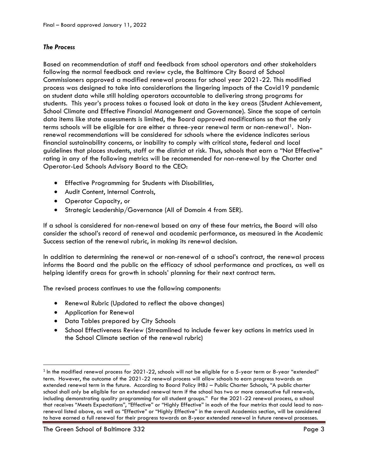# *The Process*

Based on recommendation of staff and feedback from school operators and other stakeholders following the normal feedback and review cycle, the Baltimore City Board of School Commissioners approved a modified renewal process for school year 2021-22. This modified process was designed to take into considerations the lingering impacts of the Covid19 pandemic on student data while still holding operators accountable to delivering strong programs for students. This year's process takes a focused look at data in the key areas (Student Achievement, School Climate and Effective Financial Management and Governance). Since the scope of certain data items like state assessments is limited, the Board approved modifications so that the only terms schools will be eligible for are either a three-year renewal term or non-renewal<sup>1</sup>. Nonrenewal recommendations will be considered for schools where the evidence indicates serious financial sustainability concerns, or inability to comply with critical state, federal and local guidelines that places students, staff or the district at risk. Thus, schools that earn a "Not Effective" rating in any of the following metrics will be recommended for non-renewal by the Charter and Operator-Led Schools Advisory Board to the CEO:

- Effective Programming for Students with Disabilities,
- Audit Content, Internal Controls,
- Operator Capacity, or
- Strategic Leadership/Governance (All of Domain 4 from SER).

If a school is considered for non-renewal based on any of these four metrics, the Board will also consider the school's record of renewal and academic performance, as measured in the Academic Success section of the renewal rubric, in making its renewal decision.

In addition to determining the renewal or non-renewal of a school's contract, the renewal process informs the Board and the public on the efficacy of school performance and practices, as well as helping identify areas for growth in schools' planning for their next contract term.

The revised process continues to use the following components:

- Renewal Rubric (Updated to reflect the above changes)
- Application for Renewal

l

- Data Tables prepared by City Schools
- School Effectiveness Review (Streamlined to include fewer key actions in metrics used in the School Climate section of the renewal rubric)

 $^{\rm 1}$  In the modified renewal process for 2021-22, schools will not be eligible for a 5-year term or 8-year "extended" term. However, the outcome of the 2021-22 renewal process will allow schools to earn progress towards an extended renewal term in the future. According to Board Policy IHBJ – Public Charter Schools, "A public charter school shall only be eligible for an extended renewal term if the school has two or more consecutive full renewals, including demonstrating quality programming for all student groups." For the 2021-22 renewal process, a school that receives "Meets Expectations", "Effective" or "Highly Effective" in each of the four metrics that could lead to nonrenewal listed above, as well as "Effective" or "Highly Effective" in the overall Academics section, will be considered to have earned a full renewal for their progress towards an 8-year extended renewal in future renewal processes.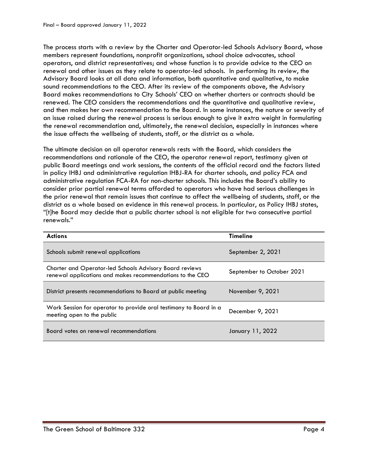The process starts with a review by the Charter and Operator-led Schools Advisory Board, whose members represent foundations, nonprofit organizations, school choice advocates, school operators, and district representatives; and whose function is to provide advice to the CEO on renewal and other issues as they relate to operator-led schools. In performing its review, the Advisory Board looks at all data and information, both quantitative and qualitative, to make sound recommendations to the CEO. After its review of the components above, the Advisory Board makes recommendations to City Schools' CEO on whether charters or contracts should be renewed. The CEO considers the recommendations and the quantitative and qualitative review, and then makes her own recommendation to the Board. In some instances, the nature or severity of an issue raised during the renewal process is serious enough to give it extra weight in formulating the renewal recommendation and, ultimately, the renewal decision, especially in instances where the issue affects the wellbeing of students, staff, or the district as a whole.

The ultimate decision on all operator renewals rests with the Board, which considers the recommendations and rationale of the CEO, the operator renewal report, testimony given at public Board meetings and work sessions, the contents of the official record and the factors listed in policy IHBJ and administrative regulation IHBJ-RA for charter schools, and policy FCA and administrative regulation FCA-RA for non-charter schools. This includes the Board's ability to consider prior partial renewal terms afforded to operators who have had serious challenges in the prior renewal that remain issues that continue to affect the wellbeing of students, staff, or the district as a whole based on evidence in this renewal process. In particular, as Policy IHBJ states, "[t]he Board may decide that a public charter school is not eligible for two consecutive partial renewals."

| <b>Actions</b>                                                                                                              | <b>Timeline</b>           |
|-----------------------------------------------------------------------------------------------------------------------------|---------------------------|
| Schools submit renewal applications                                                                                         | September 2, 2021         |
| <b>Charter and Operator-led Schools Advisory Board reviews</b><br>renewal applications and makes recommendations to the CEO | September to October 2021 |
| District presents recommendations to Board at public meeting                                                                | November 9, 2021          |
| Work Session for operator to provide oral testimony to Board in a<br>meeting open to the public                             | December 9, 2021          |
| Board votes on renewal recommendations                                                                                      | January 11, 2022          |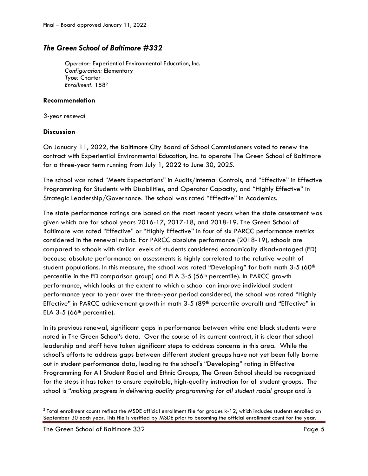# *The Green School of Baltimore #332*

*Operator:* Experiential Environmental Education, Inc. *Configuration:* Elementary *Type:* Charter *Enrollment:* 158<sup>2</sup>

# **Recommendation**

*3-year renewal*

# **Discussion**

On January 11, 2022, the Baltimore City Board of School Commissioners voted to renew the contract with Experiential Environmental Education, Inc. to operate The Green School of Baltimore for a three-year term running from July 1, 2022 to June 30, 2025.

The school was rated "Meets Expectations" in Audits/Internal Controls, and "Effective" in Effective Programming for Students with Disabilities, and Operator Capacity, and "Highly Effective" in Strategic Leadership/Governance. The school was rated "Effective" in Academics.

The state performance ratings are based on the most recent years when the state assessment was given which are for school years 2016-17, 2017-18, and 2018-19. The Green School of Baltimore was rated "Effective" or "Highly Effective" in four of six PARCC performance metrics considered in the renewal rubric. For PARCC absolute performance (2018-19), schools are compared to schools with similar levels of students considered economically disadvantaged (ED) because absolute performance on assessments is highly correlated to the relative wealth of student populations. In this measure, the school was rated "Developing" for both math 3-5 (60<sup>th</sup> percentile in the ED comparison group) and ELA 3-5 (56th percentile). In PARCC growth performance, which looks at the extent to which a school can improve individual student performance year to year over the three-year period considered, the school was rated "Highly Effective" in PARCC achievement growth in math 3-5 (89<sup>th</sup> percentile overall) and "Effective" in ELA  $3-5$  (66<sup>th</sup> percentile).

In its previous renewal, significant gaps in performance between white and black students were noted in The Green School's data. Over the course of its current contract, it is clear that school leadership and staff have taken significant steps to address concerns in this area. While the school's efforts to address gaps between different student groups have not yet been fully borne out in student performance data, leading to the school's "Developing" rating in Effective Programming for All Student Racial and Ethnic Groups, The Green School should be recognized for the steps it has taken to ensure equitable, high-quality instruction for all student groups. The school is "*making progress in delivering quality programming for all student racial groups and is* 

 $\overline{\phantom{a}}$ 

 $^2$  Total enrollment counts reflect the MSDE official enrollment file for grades k-12, which includes students enrolled on September 30 each year. This file is verified by MSDE prior to becoming the official enrollment count for the year.

The Green School of Baltimore 332 Page 5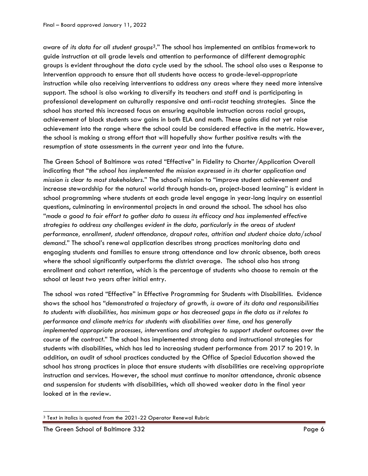*aware of its data for all student groups3*." The school has implemented an antibias framework to guide instruction at all grade levels and attention to performance of different demographic groups is evident throughout the data cycle used by the school. The school also uses a Response to Intervention approach to ensure that all students have access to grade-level-appropriate instruction while also receiving interventions to address any areas where they need more intensive support. The school is also working to diversify its teachers and staff and is participating in professional development on culturally responsive and anti-racist teaching strategies. Since the school has started this increased focus on ensuring equitable instruction across racial groups, achievement of black students saw gains in both ELA and math. These gains did not yet raise achievement into the range where the school could be considered effective in the metric. However, the school is making a strong effort that will hopefully show further positive results with the resumption of state assessments in the current year and into the future.

The Green School of Baltimore was rated "Effective" in Fidelity to Charter/Application Overall indicating that "*the school has implemented the mission expressed in its charter application and mission is clear to most stakeholders*." The school's mission to "improve student achievement and increase stewardship for the natural world through hands-on, project-based learning" is evident in school programming where students at each grade level engage in year-long inquiry on essential questions, culminating in environmental projects in and around the school. The school has also "*made a good to fair effort to gather data to assess its efficacy and has implemented effective strategies to address any challenges evident in the data, particularly in the areas of student performance, enrollment, student attendance, dropout rates, attrition and student choice data/school demand*." The school's renewal application describes strong practices monitoring data and engaging students and families to ensure strong attendance and low chronic absence, both areas where the school significantly outperforms the district average. The school also has strong enrollment and cohort retention, which is the percentage of students who choose to remain at the school at least two years after initial entry.

The school was rated "Effective" in Effective Programming for Students with Disabilities. Evidence shows the school has "*demonstrated a trajectory of growth, is aware of its data and responsibilities to students with disabilities, has minimum gaps or has decreased gaps in the data as it relates to performance and climate metrics for students with disabilities over time, and has generally implemented appropriate processes, interventions and strategies to support student outcomes over the course of the contract*." The school has implemented strong data and instructional strategies for students with disabilities, which has led to increasing student performance from 2017 to 2019. In addition, an audit of school practices conducted by the Office of Special Education showed the school has strong practices in place that ensure students with disabilities are receiving appropriate instruction and services. However, the school must continue to monitor attendance, chronic absence and suspension for students with disabilities, which all showed weaker data in the final year looked at in the review.

 $\overline{\phantom{a}}$ 

<sup>&</sup>lt;sup>3</sup> Text in italics is quoted from the 2021-22 Operator Renewal Rubric

The Green School of Baltimore 332 Page 6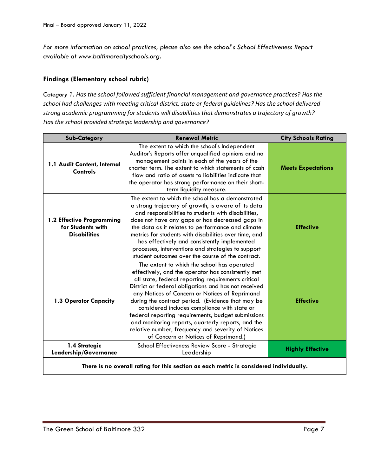*For more information on school practices, please also see the school's School Effectiveness Report available at www.baltimorecityschools.org.*

# **Findings (Elementary school rubric)**

*Category 1. Has the school followed sufficient financial management and governance practices? Has the school had challenges with meeting critical district, state or federal guidelines? Has the school delivered strong academic programming for students will disabilities that demonstrates a trajectory of growth? Has the school provided strategic leadership and governance?*

| <b>Sub-Category</b>                                                                    | <b>Renewal Metric</b>                                                                                                                                                                                                                                                                                                                                                                                                                                                                                                                                                            | <b>City Schools Rating</b> |
|----------------------------------------------------------------------------------------|----------------------------------------------------------------------------------------------------------------------------------------------------------------------------------------------------------------------------------------------------------------------------------------------------------------------------------------------------------------------------------------------------------------------------------------------------------------------------------------------------------------------------------------------------------------------------------|----------------------------|
| 1.1 Audit Content, Internal<br>Controls                                                | The extent to which the school's Independent<br>Auditor's Reports offer unqualified opinions and no<br>management points in each of the years of the<br>charter term. The extent to which statements of cash<br>flow and ratio of assets to liabilities indicate that<br>the operator has strong performance on their short-<br>term liquidity measure.                                                                                                                                                                                                                          | <b>Meets Expectations</b>  |
| 1.2 Effective Programming<br>for Students with<br><b>Disabilities</b>                  | The extent to which the school has a demonstrated<br>a strong trajectory of growth, is aware of its data<br>and responsibilities to students with disabilities,<br>does not have any gaps or has decreased gaps in<br>the data as it relates to performance and climate<br>metrics for students with disabilities over time, and<br>has effectively and consistently implemented<br>processes, interventions and strategies to support<br>student outcomes over the course of the contract.                                                                                      | <b>Effective</b>           |
| 1.3 Operator Capacity                                                                  | The extent to which the school has operated<br>effectively, and the operator has consistently met<br>all state, federal reporting requirements critical<br>District or federal obligations and has not received<br>any Notices of Concern or Notices of Reprimand<br>during the contract period. (Evidence that may be<br>considered includes compliance with state or<br>federal reporting requirements, budget submissions<br>and monitoring reports, quarterly reports, and the<br>relative number, frequency and severity of Notices<br>of Concern or Notices of Reprimand.) | <b>Effective</b>           |
| 1.4 Strategic<br>Leadership/Governance                                                 | School Effectiveness Review Score - Strategic<br>Leadership                                                                                                                                                                                                                                                                                                                                                                                                                                                                                                                      | <b>Highly Effective</b>    |
| There is no overall rating for this section as each metric is considered individually. |                                                                                                                                                                                                                                                                                                                                                                                                                                                                                                                                                                                  |                            |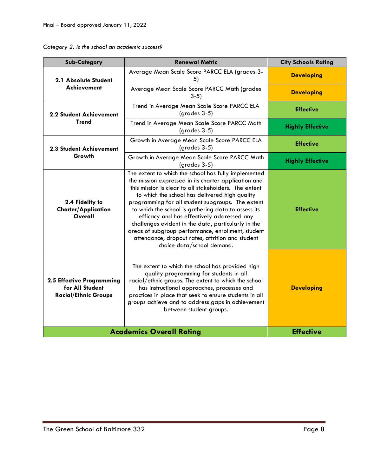| Category 2. Is the school an academic success? |  |  |  |  |  |
|------------------------------------------------|--|--|--|--|--|
|------------------------------------------------|--|--|--|--|--|

| <b>Sub-Category</b>                                                         | <b>Renewal Metric</b>                                                                                                                                                                                                                                                                                                                                                                                                                                                                                                                                                            | <b>City Schools Rating</b> |
|-----------------------------------------------------------------------------|----------------------------------------------------------------------------------------------------------------------------------------------------------------------------------------------------------------------------------------------------------------------------------------------------------------------------------------------------------------------------------------------------------------------------------------------------------------------------------------------------------------------------------------------------------------------------------|----------------------------|
| 2.1 Absolute Student<br>Achievement                                         | Average Mean Scale Score PARCC ELA (grades 3-<br>5)                                                                                                                                                                                                                                                                                                                                                                                                                                                                                                                              | <b>Developing</b>          |
|                                                                             | Average Mean Scale Score PARCC Math (grades<br>$3-5$                                                                                                                                                                                                                                                                                                                                                                                                                                                                                                                             | <b>Developing</b>          |
| <b>2.2 Student Achievement</b>                                              | Trend in Average Mean Scale Score PARCC ELA<br>$(grades 3-5)$                                                                                                                                                                                                                                                                                                                                                                                                                                                                                                                    | <b>Effective</b>           |
| <b>Trend</b>                                                                | Trend in Average Mean Scale Score PARCC Math<br>$(grades 3-5)$                                                                                                                                                                                                                                                                                                                                                                                                                                                                                                                   | <b>Highly Effective</b>    |
| <b>2.3 Student Achievement</b>                                              | Growth in Average Mean Scale Score PARCC ELA<br>$(grades 3-5)$                                                                                                                                                                                                                                                                                                                                                                                                                                                                                                                   | <b>Effective</b>           |
| Growth                                                                      | Growth in Average Mean Scale Score PARCC Math<br>(grades 3-5)                                                                                                                                                                                                                                                                                                                                                                                                                                                                                                                    | <b>Highly Effective</b>    |
| 2.4 Fidelity to<br><b>Charter/Application</b><br>Overall                    | The extent to which the school has fully implemented<br>the mission expressed in its charter application and<br>this mission is clear to all stakeholders. The extent<br>to which the school has delivered high quality<br>programming for all student subgroups. The extent<br>to which the school is gathering data to assess its<br>efficacy and has effectively addressed any<br>challenges evident in the data, particularly in the<br>areas of subgroup performance, enrollment, student<br>attendance, dropout rates, attrition and student<br>choice data/school demand. | <b>Effective</b>           |
| 2.5 Effective Programming<br>for All Student<br><b>Racial/Ethnic Groups</b> | The extent to which the school has provided high<br>quality programming for students in all<br>racial/ethnic groups. The extent to which the school<br>has instructional approaches, processes and<br>practices in place that seek to ensure students in all<br>groups achieve and to address gaps in achievement<br>between student groups.                                                                                                                                                                                                                                     | <b>Developing</b>          |
|                                                                             | <b>Academics Overall Rating</b>                                                                                                                                                                                                                                                                                                                                                                                                                                                                                                                                                  | <b>Effective</b>           |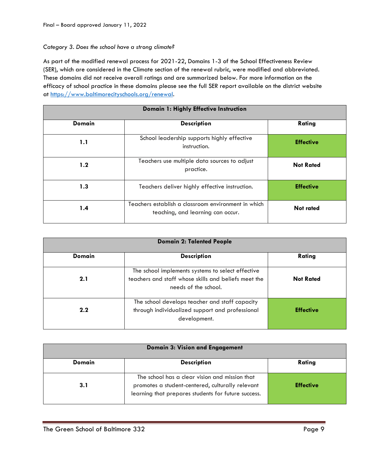#### *Category 3. Does the school have a strong climate?*

As part of the modified renewal process for 2021-22, Domains 1-3 of the School Effectiveness Review (SER), which are considered in the Climate section of the renewal rubric, were modified and abbreviated. These domains did not receive overall ratings and are summarized below. For more information on the efficacy of school practice in these domains please see the full SER report available on the district website at [https://www.baltimorecityschools.org/renewal.](https://www.baltimorecityschools.org/renewal)

| Domain 1: Highly Effective Instruction |                                                                                          |                  |  |
|----------------------------------------|------------------------------------------------------------------------------------------|------------------|--|
| <b>Domain</b>                          | <b>Description</b>                                                                       | Rating           |  |
| 1.1                                    | School leadership supports highly effective<br>instruction.                              | <b>Effective</b> |  |
| 1.2                                    | Teachers use multiple data sources to adjust<br>practice.                                | <b>Not Rated</b> |  |
| 1.3                                    | Teachers deliver highly effective instruction.                                           | <b>Effective</b> |  |
| 1.4                                    | Teachers establish a classroom environment in which<br>teaching, and learning can occur. | <b>Not rated</b> |  |

| <b>Domain 2: Talented People</b> |                                                                                                                                   |                  |  |
|----------------------------------|-----------------------------------------------------------------------------------------------------------------------------------|------------------|--|
| <b>Domain</b>                    | <b>Description</b>                                                                                                                | Rating           |  |
| 2.1                              | The school implements systems to select effective<br>teachers and staff whose skills and beliefs meet the<br>needs of the school. | <b>Not Rated</b> |  |
| 2.2                              | The school develops teacher and staff capacity<br>through individualized support and professional<br>development.                 | <b>Effective</b> |  |

| Domain 3: Vision and Engagement |                                                                                                                                                           |                  |  |
|---------------------------------|-----------------------------------------------------------------------------------------------------------------------------------------------------------|------------------|--|
| <b>Domain</b>                   | <b>Description</b>                                                                                                                                        | Rating           |  |
| 3.1                             | The school has a clear vision and mission that<br>promotes a student-centered, culturally relevant<br>learning that prepares students for future success. | <b>Effective</b> |  |